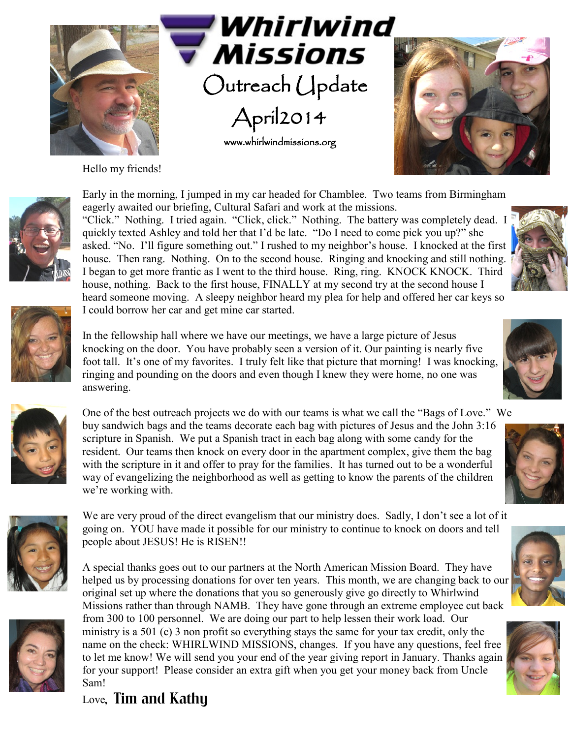

Hello my friends!





Early in the morning, I jumped in my car headed for Chamblee. Two teams from Birmingham eagerly awaited our briefing, Cultural Safari and work at the missions.

Outreach Update

**Missions** 

April2014

www.whirlwindmissions.org

"Click." Nothing. I tried again. "Click, click." Nothing. The battery was completely dead. I quickly texted Ashley and told her that I'd be late. "Do I need to come pick you up?" she asked. "No. I'll figure something out." I rushed to my neighbor's house. I knocked at the first house. Then rang. Nothing. On to the second house. Ringing and knocking and still nothing. I began to get more frantic as I went to the third house. Ring, ring. KNOCK KNOCK. Third house, nothing. Back to the first house, FINALLY at my second try at the second house I heard someone moving. A sleepy neighbor heard my plea for help and offered her car keys so I could borrow her car and get mine car started.



One of the best outreach projects we do with our teams is what we call the "Bags of Love." We buy sandwich bags and the teams decorate each bag with pictures of Jesus and the John 3:16 scripture in Spanish. We put a Spanish tract in each bag along with some candy for the resident. Our teams then knock on every door in the apartment complex, give them the bag with the scripture in it and offer to pray for the families. It has turned out to be a wonderful way of evangelizing the neighborhood as well as getting to know the parents of the children we're working with.





A special thanks goes out to our partners at the North American Mission Board. They have helped us by processing donations for over ten years. This month, we are changing back to our original set up where the donations that you so generously give go directly to Whirlwind Missions rather than through NAMB. They have gone through an extreme employee cut back from 300 to 100 personnel. We are doing our part to help lessen their work load. Our ministry is a 501 (c) 3 non profit so everything stays the same for your tax credit, only the name on the check: WHIRLWIND MISSIONS, changes. If you have any questions, feel free to let me know! We will send you your end of the year giving report in January. Thanks again for your support! Please consider an extra gift when you get your money back from Uncle Sam!







Love, Tim and Kathy